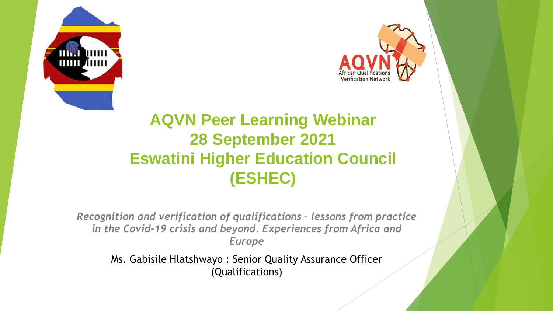



### **AQVN Peer Learning Webinar 28 September 2021 Eswatini Higher Education Council (ESHEC)**

*Recognition and verification of qualifications – lessons from practice in the Covid-19 crisis and beyond. Experiences from Africa and Europe*

Ms. Gabisile Hlatshwayo : Senior Quality Assurance Officer (Qualifications)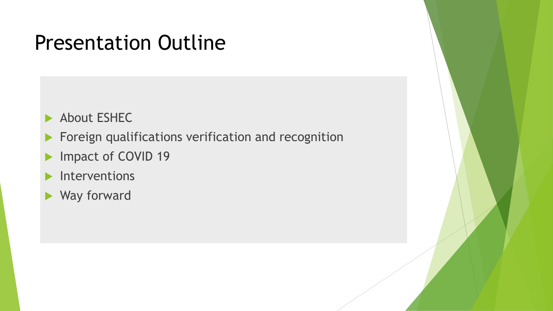### Presentation Outline

About ESHEC

**Foreign qualifications verification and recognition** 

- Impact of COVID 19
- Interventions
- Way forward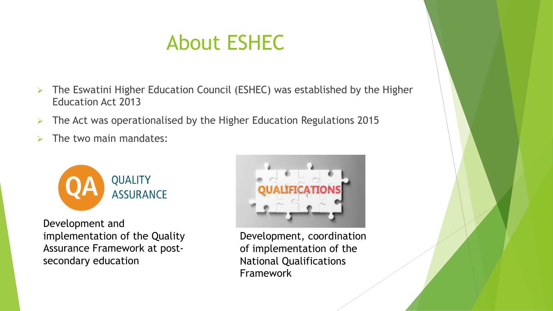## About ESHEC

- $\triangleright$  The Eswatini Higher Education Council (ESHEC) was established by the Higher Education Act 2013
- $\triangleright$  The Act was operationalised by the Higher Education Regulations 2015
- $\triangleright$  The two main mandates:



Development and implementation of the Quality Assurance Framework at postsecondary education



Development, coordination of implementation of the National Qualifications Framework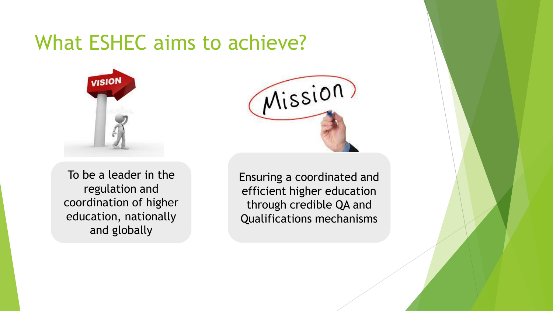### What ESHEC aims to achieve?



To be a leader in the regulation and coordination of higher education, nationally and globally



Ensuring a coordinated and efficient higher education through credible QA and Qualifications mechanisms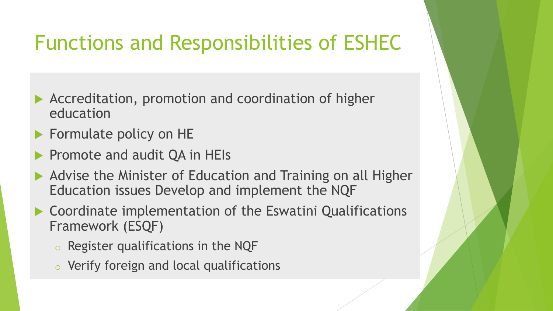## Functions and Responsibilities of ESHEC

- Accreditation, promotion and coordination of higher education
- **Formulate policy on HE**
- Promote and audit QA in HEIs
- ▶ Advise the Minister of Education and Training on all Higher Education issues Develop and implement the NQF
- ▶ Coordinate implementation of the Eswatini Qualifications Framework (ESQF)
	- o Register qualifications in the NQF
	- o Verify foreign and local qualifications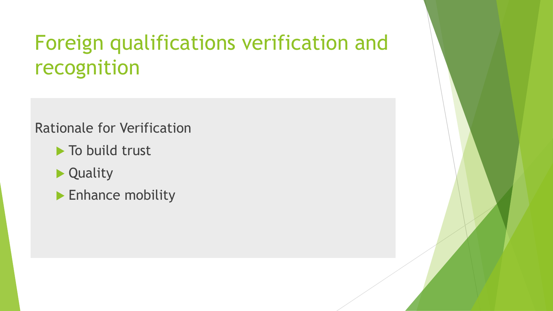## Foreign qualifications verification and recognition

### Rationale for Verification

- $\blacktriangleright$  To build trust
- ▶ Quality
- **Enhance mobility**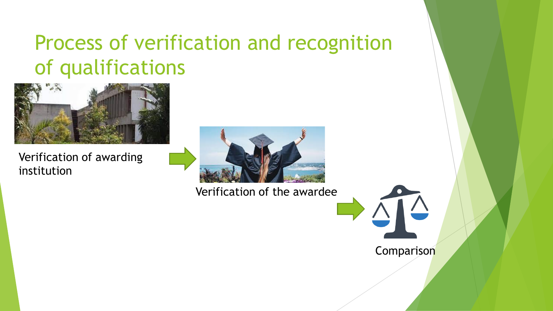## Process of verification and recognition of qualifications



Verification of awarding institution



Verification of the awardee



Comparison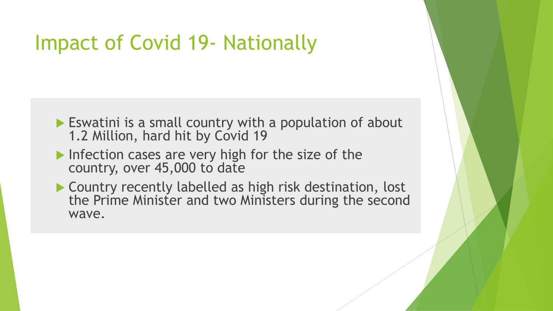### Impact of Covid 19- Nationally

- Eswatini is a small country with a population of about 1.2 Million, hard hit by Covid 19
- Infection cases are very high for the size of the country, over 45,000 to date
- ▶ Country recently labelled as high risk destination, lost the Prime Minister and two Ministers during the second wave.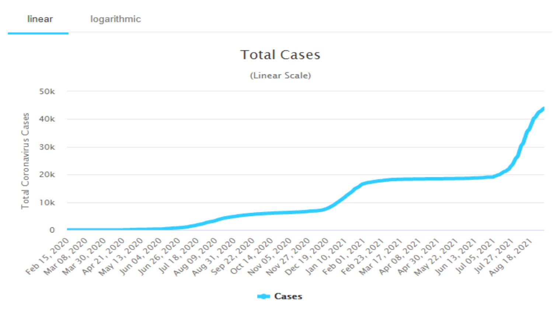

**Cases**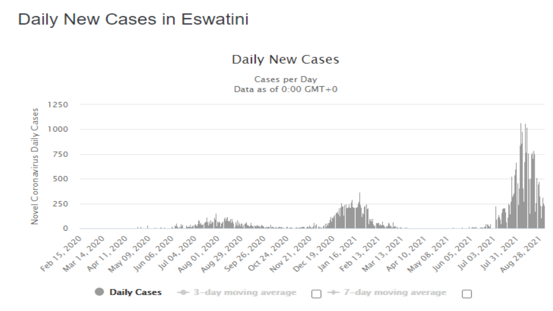### Daily New Cases in Eswatini

#### **Daily New Cases**

Cases per Day Data as of  $0:00$  GMT+0

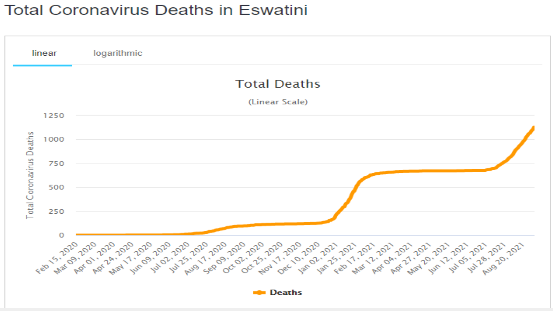### **Total Coronavirus Deaths in Eswatini**

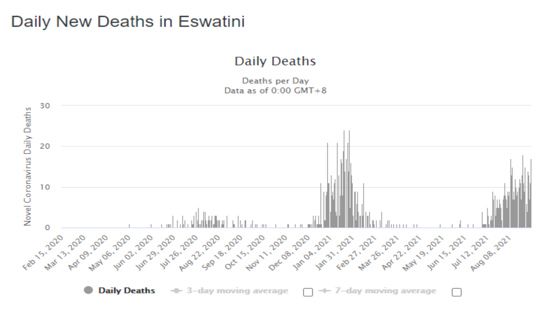### Daily New Deaths in Eswatini

#### **Daily Deaths**

Deaths per Day Data as of  $0:00$  GMT+8

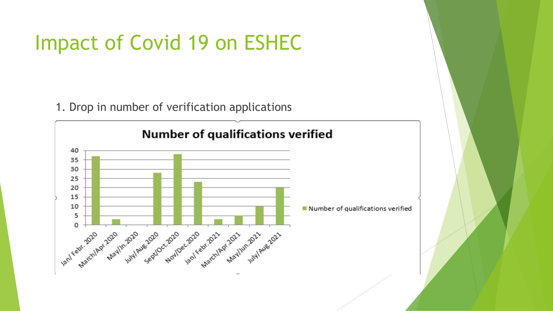### Impact of Covid 19 on ESHEC

1. Drop in number of verification applications

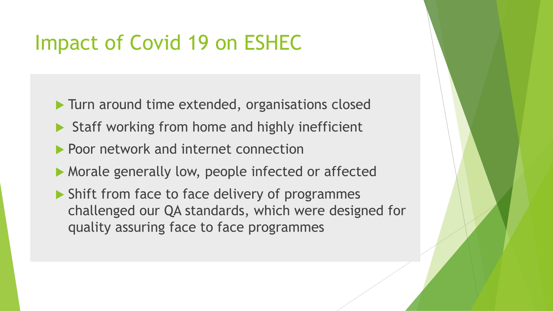### Impact of Covid 19 on ESHEC

- Turn around time extended, organisations closed
- $\triangleright$  Staff working from home and highly inefficient
- **Poor network and internet connection**
- Morale generally low, people infected or affected
- ▶ Shift from face to face delivery of programmes challenged our QA standards, which were designed for quality assuring face to face programmes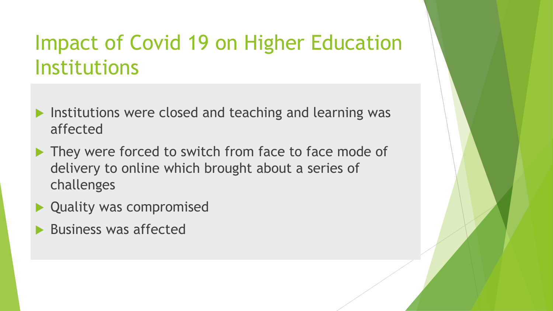## Impact of Covid 19 on Higher Education Institutions

- $\blacktriangleright$  Institutions were closed and teaching and learning was affected
- They were forced to switch from face to face mode of delivery to online which brought about a series of challenges
- ▶ Quality was compromised
- Business was affected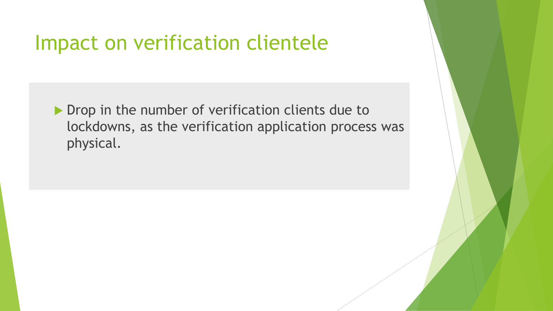### Impact on verification clientele

Drop in the number of verification clients due to lockdowns, as the verification application process was physical.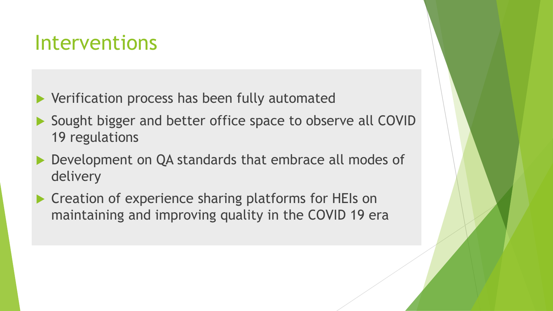### Interventions

- ▶ Verification process has been fully automated
- ▶ Sought bigger and better office space to observe all COVID 19 regulations
- Development on QA standards that embrace all modes of delivery
- ▶ Creation of experience sharing platforms for HEIs on maintaining and improving quality in the COVID 19 era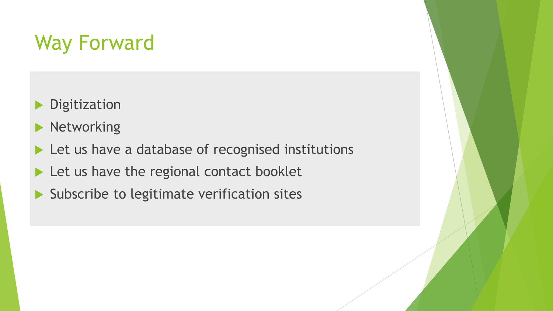# Way Forward

- **Digitization**
- **Networking**
- Let us have a database of recognised institutions
- Let us have the regional contact booklet
- $\blacktriangleright$  Subscribe to legitimate verification sites